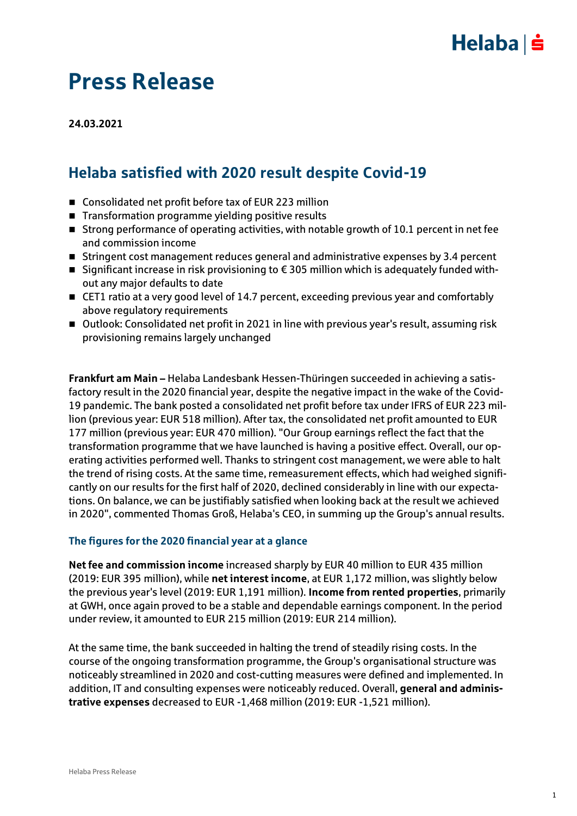### $Helaba| \dot{=}$

# Press Release

**24.03.2021**

### Helaba satisfied with 2020 result despite Covid-19

- Consolidated net profit before tax of EUR 223 million
- Transformation programme yielding positive results
- Strong performance of operating activities, with notable growth of 10.1 percent in net fee and commission income
- Stringent cost management reduces general and administrative expenses by 3.4 percent
- Significant increase in risk provisioning to  $\epsilon$  305 million which is adequately funded without any major defaults to date
- CET1 ratio at a very good level of 14.7 percent, exceeding previous year and comfortably above regulatory requirements
- Outlook: Consolidated net profit in 2021 in line with previous year's result, assuming risk provisioning remains largely unchanged

**Frankfurt am Main –** Helaba Landesbank Hessen-Thüringen succeeded in achieving a satisfactory result in the 2020 financial year, despite the negative impact in the wake of the Covid-19 pandemic. The bank posted a consolidated net profit before tax under IFRS of EUR 223 million (previous year: EUR 518 million). After tax, the consolidated net profit amounted to EUR 177 million (previous year: EUR 470 million). "Our Group earnings reflect the fact that the transformation programme that we have launched is having a positive effect. Overall, our operating activities performed well. Thanks to stringent cost management, we were able to halt the trend of rising costs. At the same time, remeasurement effects, which had weighed significantly on our results for the first half of 2020, declined considerably in line with our expectations. On balance, we can be justifiably satisfied when looking back at the result we achieved in 2020", commented Thomas Groß, Helaba's CEO, in summing up the Group's annual results.

#### **The figures for the 2020 financial year at a glance**

**Net fee and commission income** increased sharply by EUR 40 million to EUR 435 million (2019: EUR 395 million), while **net interest income**, at EUR 1,172 million, was slightly below the previous year's level (2019: EUR 1,191 million). **Income from rented properties**, primarily at GWH, once again proved to be a stable and dependable earnings component. In the period under review, it amounted to EUR 215 million (2019: EUR 214 million).

At the same time, the bank succeeded in halting the trend of steadily rising costs. In the course of the ongoing transformation programme, the Group's organisational structure was noticeably streamlined in 2020 and cost-cutting measures were defined and implemented. In addition, IT and consulting expenses were noticeably reduced. Overall, **general and administrative expenses** decreased to EUR -1,468 million (2019: EUR -1,521 million).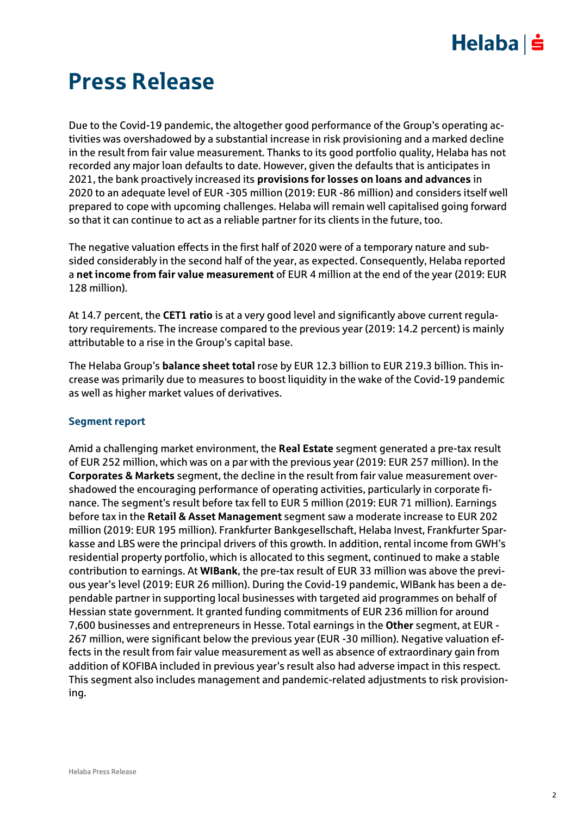## $Helaba$  =

# Press Release

Due to the Covid-19 pandemic, the altogether good performance of the Group's operating activities was overshadowed by a substantial increase in risk provisioning and a marked decline in the result from fair value measurement. Thanks to its good portfolio quality, Helaba has not recorded any major loan defaults to date. However, given the defaults that is anticipates in 2021, the bank proactively increased its **provisions for losses on loans and advances** in 2020 to an adequate level of EUR -305 million (2019: EUR -86 million) and considers itself well prepared to cope with upcoming challenges. Helaba will remain well capitalised going forward so that it can continue to act as a reliable partner for its clients in the future, too.

The negative valuation effects in the first half of 2020 were of a temporary nature and subsided considerably in the second half of the year, as expected. Consequently, Helaba reported a **net income from fair value measurement** of EUR 4 million at the end of the year (2019: EUR 128 million).

At 14.7 percent, the **CET1 ratio** is at a very good level and significantly above current regulatory requirements. The increase compared to the previous year (2019: 14.2 percent) is mainly attributable to a rise in the Group's capital base.

The Helaba Group's **balance sheet total** rose by EUR 12.3 billion to EUR 219.3 billion. This increase was primarily due to measures to boost liquidity in the wake of the Covid-19 pandemic as well as higher market values of derivatives.

#### **Segment report**

Amid a challenging market environment, the **Real Estate** segment generated a pre-tax result of EUR 252 million, which was on a par with the previous year (2019: EUR 257 million). In the **Corporates & Markets** segment, the decline in the result from fair value measurement overshadowed the encouraging performance of operating activities, particularly in corporate finance. The segment's result before tax fell to EUR 5 million (2019: EUR 71 million). Earnings before tax in the **Retail & Asset Management** segment saw a moderate increase to EUR 202 million (2019: EUR 195 million). Frankfurter Bankgesellschaft, Helaba Invest, Frankfurter Sparkasse and LBS were the principal drivers of this growth. In addition, rental income from GWH's residential property portfolio, which is allocated to this segment, continued to make a stable contribution to earnings. At **WIBank**, the pre-tax result of EUR 33 million was above the previous year's level (2019: EUR 26 million). During the Covid-19 pandemic, WIBank has been a dependable partner in supporting local businesses with targeted aid programmes on behalf of Hessian state government. It granted funding commitments of EUR 236 million for around 7,600 businesses and entrepreneurs in Hesse. Total earnings in the **Other** segment, at EUR - 267 million, were significant below the previous year (EUR -30 million). Negative valuation effects in the result from fair value measurement as well as absence of extraordinary gain from addition of KOFIBA included in previous year's result also had adverse impact in this respect. This segment also includes management and pandemic-related adjustments to risk provisioning.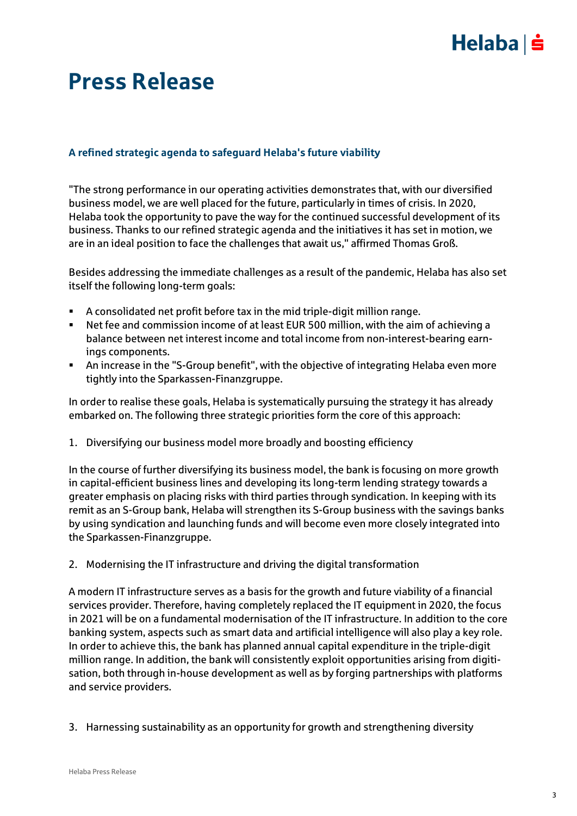# $Helaba| \dot{=}$

# Press Release

#### **A refined strategic agenda to safeguard Helaba's future viability**

"The strong performance in our operating activities demonstrates that, with our diversified business model, we are well placed for the future, particularly in times of crisis. In 2020, Helaba took the opportunity to pave the way for the continued successful development of its business. Thanks to our refined strategic agenda and the initiatives it has set in motion, we are in an ideal position to face the challenges that await us," affirmed Thomas Groß.

Besides addressing the immediate challenges as a result of the pandemic, Helaba has also set itself the following long-term goals:

- A consolidated net profit before tax in the mid triple-digit million range.
- Net fee and commission income of at least EUR 500 million, with the aim of achieving a balance between net interest income and total income from non-interest-bearing earnings components.
- An increase in the "S-Group benefit", with the objective of integrating Helaba even more tightly into the Sparkassen-Finanzgruppe.

In order to realise these goals, Helaba is systematically pursuing the strategy it has already embarked on. The following three strategic priorities form the core of this approach:

1. Diversifying our business model more broadly and boosting efficiency

In the course of further diversifying its business model, the bank is focusing on more growth in capital-efficient business lines and developing its long-term lending strategy towards a greater emphasis on placing risks with third parties through syndication. In keeping with its remit as an S-Group bank, Helaba will strengthen its S-Group business with the savings banks by using syndication and launching funds and will become even more closely integrated into the Sparkassen-Finanzgruppe.

2. Modernising the IT infrastructure and driving the digital transformation

A modern IT infrastructure serves as a basis for the growth and future viability of a financial services provider. Therefore, having completely replaced the IT equipment in 2020, the focus in 2021 will be on a fundamental modernisation of the IT infrastructure. In addition to the core banking system, aspects such as smart data and artificial intelligence will also play a key role. In order to achieve this, the bank has planned annual capital expenditure in the triple-digit million range. In addition, the bank will consistently exploit opportunities arising from digitisation, both through in-house development as well as by forging partnerships with platforms and service providers.

3. Harnessing sustainability as an opportunity for growth and strengthening diversity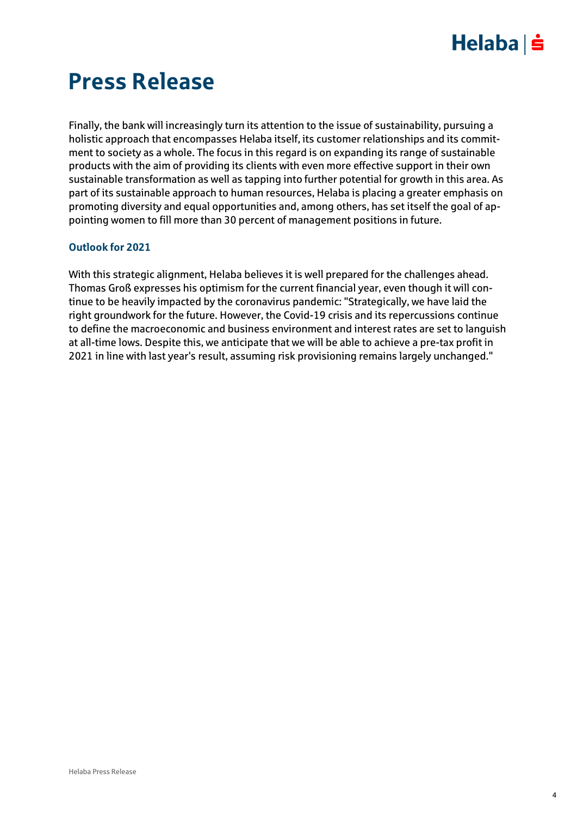## $Helaba \succeq$

# Press Release

Finally, the bank will increasingly turn its attention to the issue of sustainability, pursuing a holistic approach that encompasses Helaba itself, its customer relationships and its commitment to society as a whole. The focus in this regard is on expanding its range of sustainable products with the aim of providing its clients with even more effective support in their own sustainable transformation as well as tapping into further potential for growth in this area. As part of its sustainable approach to human resources, Helaba is placing a greater emphasis on promoting diversity and equal opportunities and, among others, has set itself the goal of appointing women to fill more than 30 percent of management positions in future.

#### **Outlook for 2021**

With this strategic alignment, Helaba believes it is well prepared for the challenges ahead. Thomas Groß expresses his optimism for the current financial year, even though it will continue to be heavily impacted by the coronavirus pandemic: "Strategically, we have laid the right groundwork for the future. However, the Covid-19 crisis and its repercussions continue to define the macroeconomic and business environment and interest rates are set to languish at all-time lows. Despite this, we anticipate that we will be able to achieve a pre-tax profit in 2021 in line with last year's result, assuming risk provisioning remains largely unchanged."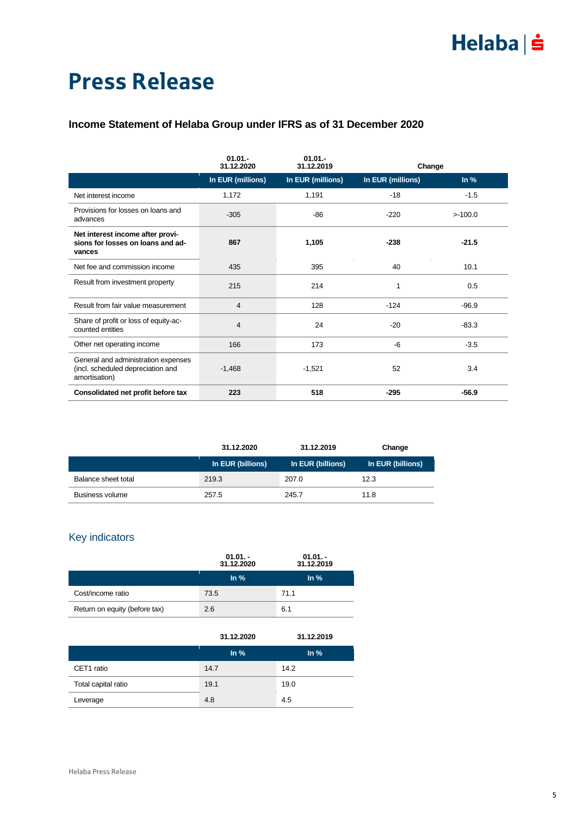# $Helaba| \dot{\mathbf{s}}$

# Press Release

#### **Income Statement of Helaba Group under IFRS as of 31 December 2020**

|                                                                                           | $01.01 -$<br>31.12.2020 | $01.01 -$<br>31.12.2019 | Change            |         |
|-------------------------------------------------------------------------------------------|-------------------------|-------------------------|-------------------|---------|
|                                                                                           | In EUR (millions)       | In EUR (millions)       | In EUR (millions) | ln %    |
| Net interest income                                                                       | 1,172                   | 1,191                   | $-18$             | $-1.5$  |
| Provisions for losses on loans and<br>advances                                            | $-305$                  | $-86$                   | $-220$            | >100.0  |
| Net interest income after provi-<br>sions for losses on loans and ad-<br>vances           | 867                     | 1,105                   | $-238$            | $-21.5$ |
| Net fee and commission income                                                             | 435                     | 395                     | 40                | 10.1    |
| Result from investment property                                                           | 215                     | 214                     | 1                 | 0.5     |
| Result from fair value measurement                                                        | $\overline{4}$          | 128                     | $-124$            | $-96.9$ |
| Share of profit or loss of equity-ac-<br>counted entities                                 | $\overline{4}$          | 24                      | $-20$             | $-83.3$ |
| Other net operating income                                                                | 166                     | 173                     | $-6$              | $-3.5$  |
| General and administration expenses<br>(incl. scheduled depreciation and<br>amortisation) | $-1,468$                | $-1,521$                | 52                | 3.4     |
| Consolidated net profit before tax                                                        | 223                     | 518                     | $-295$            | $-56.9$ |

|                     | 31.12.2020        | 31.12.2019        | Change            |
|---------------------|-------------------|-------------------|-------------------|
|                     | In EUR (billions) | In EUR (billions) | In EUR (billions) |
| Balance sheet total | 219.3             | 207.0             | 12.3              |
| Business volume     | 257.5             | 245.7             | 11.8              |

#### Key indicators

|                               | $01.01 -$<br>31.12.2020 | $01.01 -$<br>31.12.2019 |
|-------------------------------|-------------------------|-------------------------|
|                               | $\ln \frac{9}{6}$       | $\ln \frac{9}{6}$       |
| Cost/income ratio             | 73.5                    | 71.1                    |
| Return on equity (before tax) | 2.6                     | 6.1                     |

|                     | 31.12.2020 | 31.12.2019        |
|---------------------|------------|-------------------|
|                     | $\ln \%$   | $\ln \frac{9}{6}$ |
| CET1 ratio          | 14.7       | 14.2              |
| Total capital ratio | 19.1       | 19.0              |
| Leverage            | 4.8        | 4.5               |